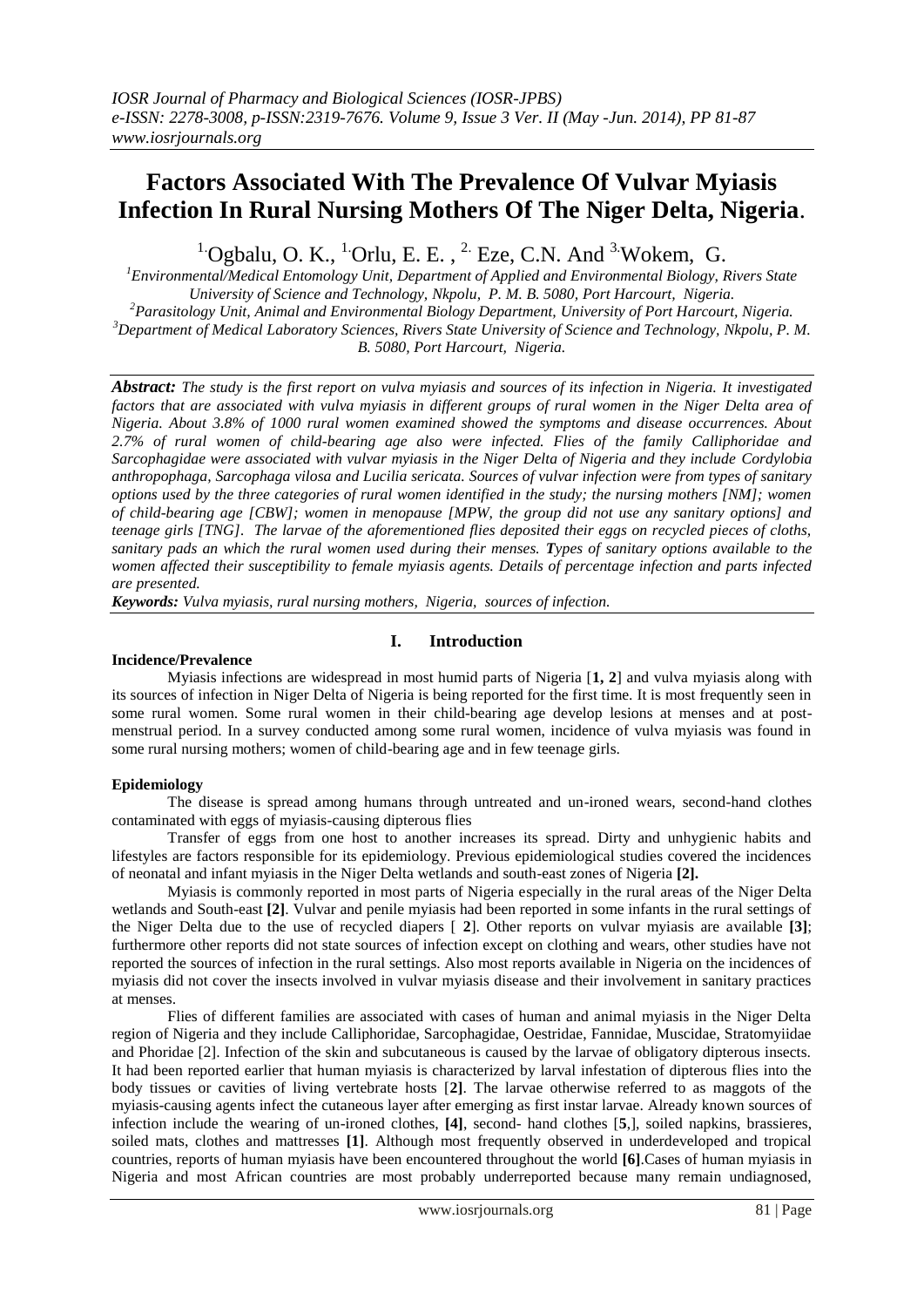# **Factors Associated With The Prevalence Of Vulvar Myiasis Infection In Rural Nursing Mothers Of The Niger Delta, Nigeria**.

<sup>1.</sup>Ogbalu, O. K., <sup>1.</sup>Orlu, E. E., <sup>2.</sup> Eze, C.N. And <sup>3.</sup>Wokem, G.

*<sup>1</sup>Environmental/Medical Entomology Unit, Department of Applied and Environmental Biology, Rivers State University of Science and Technology, Nkpolu, P. M. B. 5080, Port Harcourt, Nigeria. <sup>2</sup>Parasitology Unit, Animal and Environmental Biology Department, University of Port Harcourt, Nigeria. <sup>3</sup>Department of Medical Laboratory Sciences, Rivers State University of Science and Technology, Nkpolu, P. M. B. 5080, Port Harcourt, Nigeria.*

*Abstract: The study is the first report on vulva myiasis and sources of its infection in Nigeria. It investigated factors that are associated with vulva myiasis in different groups of rural women in the Niger Delta area of Nigeria. About 3.8% of 1000 rural women examined showed the symptoms and disease occurrences. About 2.7% of rural women of child-bearing age also were infected. Flies of the family Calliphoridae and Sarcophagidae were associated with vulvar myiasis in the Niger Delta of Nigeria and they include Cordylobia anthropophaga, Sarcophaga vilosa and Lucilia sericata. Sources of vulvar infection were from types of sanitary options used by the three categories of rural women identified in the study; the nursing mothers [NM]; women of child-bearing age [CBW]; women in menopause [MPW, the group did not use any sanitary options] and teenage girls [TNG]. The larvae of the aforementioned flies deposited their eggs on recycled pieces of cloths, sanitary pads an which the rural women used during their menses. Types of sanitary options available to the women affected their susceptibility to female myiasis agents. Details of percentage infection and parts infected are presented.*

*Keywords: Vulva myiasis, rural nursing mothers, Nigeria, sources of infection.*

# **I. Introduction**

# **Incidence/Prevalence**

Myiasis infections are widespread in most humid parts of Nigeria [**1, 2**] and vulva myiasis along with its sources of infection in Niger Delta of Nigeria is being reported for the first time. It is most frequently seen in some rural women. Some rural women in their child-bearing age develop lesions at menses and at postmenstrual period. In a survey conducted among some rural women, incidence of vulva myiasis was found in some rural nursing mothers; women of child-bearing age and in few teenage girls.

# **Epidemiology**

The disease is spread among humans through untreated and un-ironed wears, second-hand clothes contaminated with eggs of myiasis-causing dipterous flies

Transfer of eggs from one host to another increases its spread. Dirty and unhygienic habits and lifestyles are factors responsible for its epidemiology. Previous epidemiological studies covered the incidences of neonatal and infant myiasis in the Niger Delta wetlands and south-east zones of Nigeria **[2].**

Myiasis is commonly reported in most parts of Nigeria especially in the rural areas of the Niger Delta wetlands and South-east **[2]**. Vulvar and penile myiasis had been reported in some infants in the rural settings of the Niger Delta due to the use of recycled diapers [ **2**]. Other reports on vulvar myiasis are available **[3]**; furthermore other reports did not state sources of infection except on clothing and wears, other studies have not reported the sources of infection in the rural settings. Also most reports available in Nigeria on the incidences of myiasis did not cover the insects involved in vulvar myiasis disease and their involvement in sanitary practices at menses.

Flies of different families are associated with cases of human and animal myiasis in the Niger Delta region of Nigeria and they include Calliphoridae, Sarcophagidae, Oestridae, Fannidae, Muscidae, Stratomyiidae and Phoridae [2]. Infection of the skin and subcutaneous is caused by the larvae of obligatory dipterous insects. It had been reported earlier that human myiasis is characterized by larval infestation of dipterous flies into the body tissues or cavities of living vertebrate hosts [**2]**. The larvae otherwise referred to as maggots of the myiasis-causing agents infect the cutaneous layer after emerging as first instar larvae. Already known sources of infection include the wearing of un-ironed clothes, **[4]**, second- hand clothes [**5**,], soiled napkins, brassieres, soiled mats, clothes and mattresses **[1]**. Although most frequently observed in underdeveloped and tropical countries, reports of human myiasis have been encountered throughout the world **[6]**.Cases of human myiasis in Nigeria and most African countries are most probably underreported because many remain undiagnosed,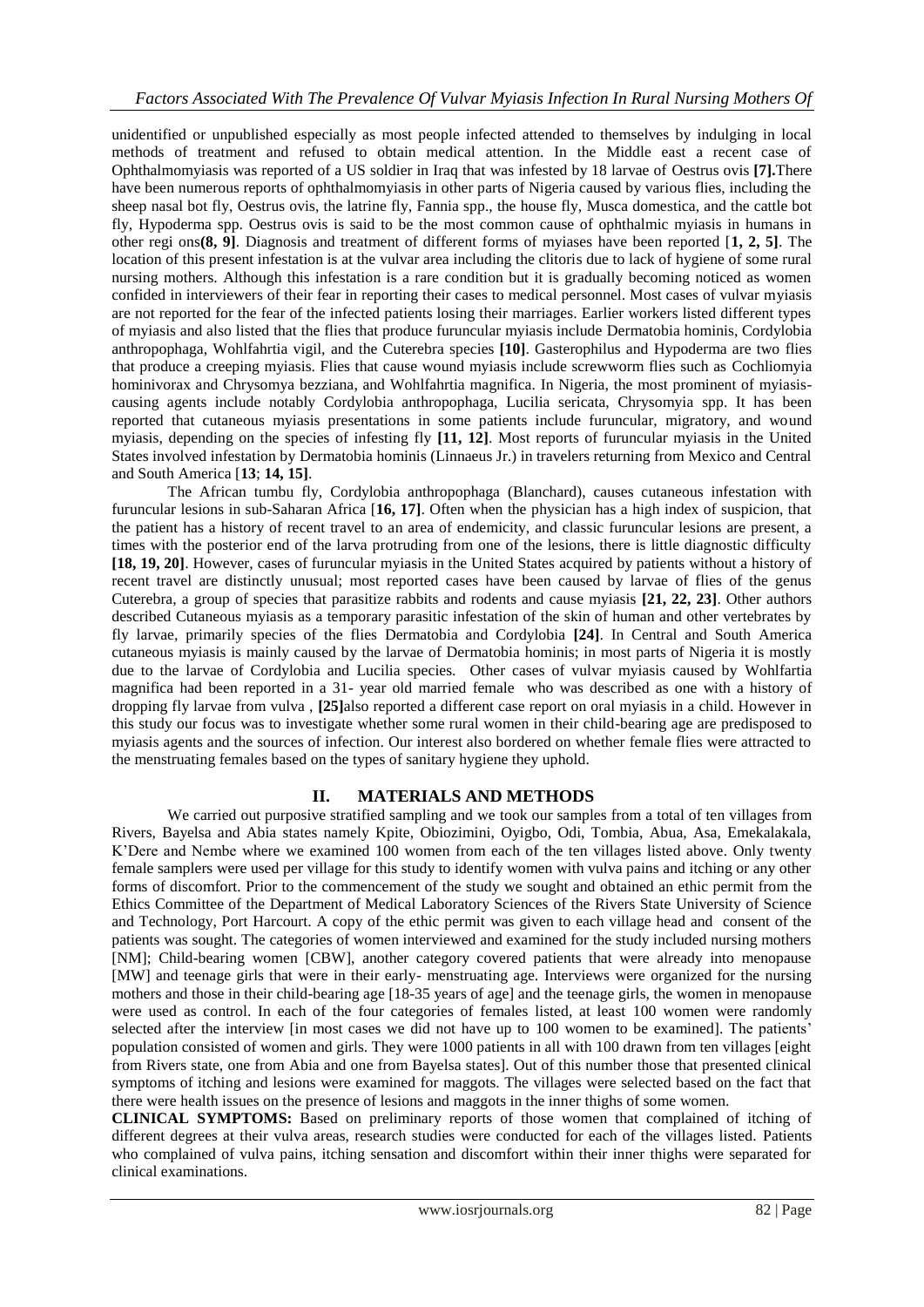unidentified or unpublished especially as most people infected attended to themselves by indulging in local methods of treatment and refused to obtain medical attention. In the Middle east a recent case of Ophthalmomyiasis was reported of a US soldier in Iraq that was infested by 18 larvae of Oestrus ovis **[7].**There have been numerous reports of ophthalmomyiasis in other parts of Nigeria caused by various flies, including the sheep nasal bot fly, Oestrus ovis, the latrine fly, Fannia spp., the house fly, Musca domestica, and the cattle bot fly, Hypoderma spp. Oestrus ovis is said to be the most common cause of ophthalmic myiasis in humans in other regi ons**(8, 9]**. Diagnosis and treatment of different forms of myiases have been reported [**1, 2, 5]**. The location of this present infestation is at the vulvar area including the clitoris due to lack of hygiene of some rural nursing mothers. Although this infestation is a rare condition but it is gradually becoming noticed as women confided in interviewers of their fear in reporting their cases to medical personnel. Most cases of vulvar myiasis are not reported for the fear of the infected patients losing their marriages. Earlier workers listed different types of myiasis and also listed that the flies that produce furuncular myiasis include Dermatobia hominis, Cordylobia anthropophaga, Wohlfahrtia vigil, and the Cuterebra species **[10]**. Gasterophilus and Hypoderma are two flies that produce a creeping myiasis. Flies that cause wound myiasis include screwworm flies such as Cochliomyia hominivorax and Chrysomya bezziana, and Wohlfahrtia magnifica. In Nigeria, the most prominent of myiasiscausing agents include notably Cordylobia anthropophaga, Lucilia sericata, Chrysomyia spp. It has been reported that cutaneous myiasis presentations in some patients include furuncular, migratory, and wound myiasis, depending on the species of infesting fly **[11, 12]**. Most reports of furuncular myiasis in the United States involved infestation by Dermatobia hominis (Linnaeus Jr.) in travelers returning from Mexico and Central and South America [**13**; **14, 15]**.

The African tumbu fly, Cordylobia anthropophaga (Blanchard), causes cutaneous infestation with furuncular lesions in sub-Saharan Africa [**16, 17]**. Often when the physician has a high index of suspicion, that the patient has a history of recent travel to an area of endemicity, and classic furuncular lesions are present, a times with the posterior end of the larva protruding from one of the lesions, there is little diagnostic difficulty **[18, 19, 20]**. However, cases of furuncular myiasis in the United States acquired by patients without a history of recent travel are distinctly unusual; most reported cases have been caused by larvae of flies of the genus Cuterebra, a group of species that parasitize rabbits and rodents and cause myiasis **[21, 22, 23]**. Other authors described Cutaneous myiasis as a temporary parasitic infestation of the skin of human and other vertebrates by fly larvae, primarily species of the flies Dermatobia and Cordylobia **[24]**. In Central and South America cutaneous myiasis is mainly caused by the larvae of Dermatobia hominis; in most parts of Nigeria it is mostly due to the larvae of Cordylobia and Lucilia species. Other cases of vulvar myiasis caused by Wohlfartia magnifica had been reported in a 31- year old married female who was described as one with a history of dropping fly larvae from vulva , **[25]**also reported a different case report on oral myiasis in a child. However in this study our focus was to investigate whether some rural women in their child-bearing age are predisposed to myiasis agents and the sources of infection. Our interest also bordered on whether female flies were attracted to the menstruating females based on the types of sanitary hygiene they uphold.

# **II. MATERIALS AND METHODS**

We carried out purposive stratified sampling and we took our samples from a total of ten villages from Rivers, Bayelsa and Abia states namely Kpite, Obiozimini, Oyigbo, Odi, Tombia, Abua, Asa, Emekalakala, K'Dere and Nembe where we examined 100 women from each of the ten villages listed above. Only twenty female samplers were used per village for this study to identify women with vulva pains and itching or any other forms of discomfort. Prior to the commencement of the study we sought and obtained an ethic permit from the Ethics Committee of the Department of Medical Laboratory Sciences of the Rivers State University of Science and Technology, Port Harcourt. A copy of the ethic permit was given to each village head and consent of the patients was sought. The categories of women interviewed and examined for the study included nursing mothers [NM]; Child-bearing women [CBW], another category covered patients that were already into menopause [MW] and teenage girls that were in their early- menstruating age. Interviews were organized for the nursing mothers and those in their child-bearing age [18-35 years of age] and the teenage girls, the women in menopause were used as control. In each of the four categories of females listed, at least 100 women were randomly selected after the interview [in most cases we did not have up to 100 women to be examined]. The patients' population consisted of women and girls. They were 1000 patients in all with 100 drawn from ten villages [eight from Rivers state, one from Abia and one from Bayelsa states]. Out of this number those that presented clinical symptoms of itching and lesions were examined for maggots. The villages were selected based on the fact that there were health issues on the presence of lesions and maggots in the inner thighs of some women.

**CLINICAL SYMPTOMS:** Based on preliminary reports of those women that complained of itching of different degrees at their vulva areas, research studies were conducted for each of the villages listed. Patients who complained of vulva pains, itching sensation and discomfort within their inner thighs were separated for clinical examinations.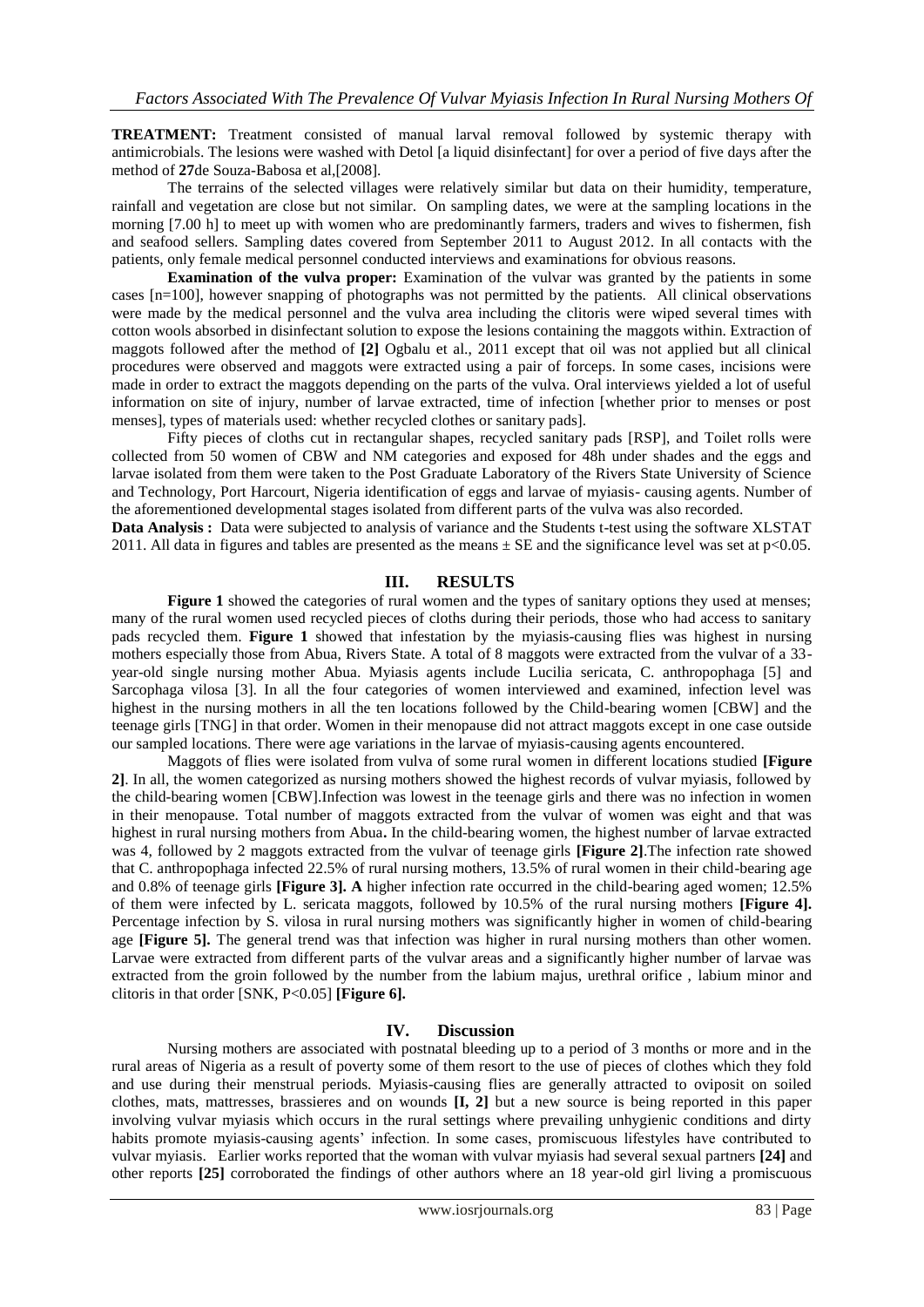**TREATMENT:** Treatment consisted of manual larval removal followed by systemic therapy with antimicrobials. The lesions were washed with Detol [a liquid disinfectant] for over a period of five days after the method of **27**de Souza-Babosa et al,[2008].

The terrains of the selected villages were relatively similar but data on their humidity, temperature, rainfall and vegetation are close but not similar. On sampling dates, we were at the sampling locations in the morning [7.00 h] to meet up with women who are predominantly farmers, traders and wives to fishermen, fish and seafood sellers. Sampling dates covered from September 2011 to August 2012. In all contacts with the patients, only female medical personnel conducted interviews and examinations for obvious reasons.

**Examination of the vulva proper:** Examination of the vulvar was granted by the patients in some cases [n=100], however snapping of photographs was not permitted by the patients. All clinical observations were made by the medical personnel and the vulva area including the clitoris were wiped several times with cotton wools absorbed in disinfectant solution to expose the lesions containing the maggots within. Extraction of maggots followed after the method of **[2]** Ogbalu et al., 2011 except that oil was not applied but all clinical procedures were observed and maggots were extracted using a pair of forceps. In some cases, incisions were made in order to extract the maggots depending on the parts of the vulva. Oral interviews yielded a lot of useful information on site of injury, number of larvae extracted, time of infection [whether prior to menses or post menses], types of materials used: whether recycled clothes or sanitary pads].

Fifty pieces of cloths cut in rectangular shapes, recycled sanitary pads [RSP], and Toilet rolls were collected from 50 women of CBW and NM categories and exposed for 48h under shades and the eggs and larvae isolated from them were taken to the Post Graduate Laboratory of the Rivers State University of Science and Technology, Port Harcourt, Nigeria identification of eggs and larvae of myiasis- causing agents. Number of the aforementioned developmental stages isolated from different parts of the vulva was also recorded.

**Data Analysis :** Data were subjected to analysis of variance and the Students t-test using the software XLSTAT 2011. All data in figures and tables are presented as the means  $\pm$  SE and the significance level was set at p<0.05.

#### **III. RESULTS**

**Figure 1** showed the categories of rural women and the types of sanitary options they used at menses; many of the rural women used recycled pieces of cloths during their periods, those who had access to sanitary pads recycled them. **Figure 1** showed that infestation by the myiasis-causing flies was highest in nursing mothers especially those from Abua, Rivers State. A total of 8 maggots were extracted from the vulvar of a 33 year-old single nursing mother Abua. Myiasis agents include Lucilia sericata, C. anthropophaga [5] and Sarcophaga vilosa [3]. In all the four categories of women interviewed and examined, infection level was highest in the nursing mothers in all the ten locations followed by the Child-bearing women [CBW] and the teenage girls [TNG] in that order. Women in their menopause did not attract maggots except in one case outside our sampled locations. There were age variations in the larvae of myiasis-causing agents encountered.

Maggots of flies were isolated from vulva of some rural women in different locations studied **[Figure 2]**. In all, the women categorized as nursing mothers showed the highest records of vulvar myiasis, followed by the child-bearing women [CBW].Infection was lowest in the teenage girls and there was no infection in women in their menopause. Total number of maggots extracted from the vulvar of women was eight and that was highest in rural nursing mothers from Abua**.** In the child-bearing women, the highest number of larvae extracted was 4, followed by 2 maggots extracted from the vulvar of teenage girls **[Figure 2]**.The infection rate showed that C. anthropophaga infected 22.5% of rural nursing mothers, 13.5% of rural women in their child-bearing age and 0.8% of teenage girls **[Figure 3]. A** higher infection rate occurred in the child-bearing aged women; 12.5% of them were infected by L. sericata maggots, followed by 10.5% of the rural nursing mothers **[Figure 4].**  Percentage infection by S. vilosa in rural nursing mothers was significantly higher in women of child-bearing age **[Figure 5].** The general trend was that infection was higher in rural nursing mothers than other women. Larvae were extracted from different parts of the vulvar areas and a significantly higher number of larvae was extracted from the groin followed by the number from the labium majus, urethral orifice , labium minor and clitoris in that order [SNK, P<0.05] **[Figure 6].**

#### **IV. Discussion**

Nursing mothers are associated with postnatal bleeding up to a period of 3 months or more and in the rural areas of Nigeria as a result of poverty some of them resort to the use of pieces of clothes which they fold and use during their menstrual periods. Myiasis-causing flies are generally attracted to oviposit on soiled clothes, mats, mattresses, brassieres and on wounds **[I, 2]** but a new source is being reported in this paper involving vulvar myiasis which occurs in the rural settings where prevailing unhygienic conditions and dirty habits promote myiasis-causing agents' infection. In some cases, promiscuous lifestyles have contributed to vulvar myiasis. Earlier works reported that the woman with vulvar myiasis had several sexual partners **[24]** and other reports **[25]** corroborated the findings of other authors where an 18 year-old girl living a promiscuous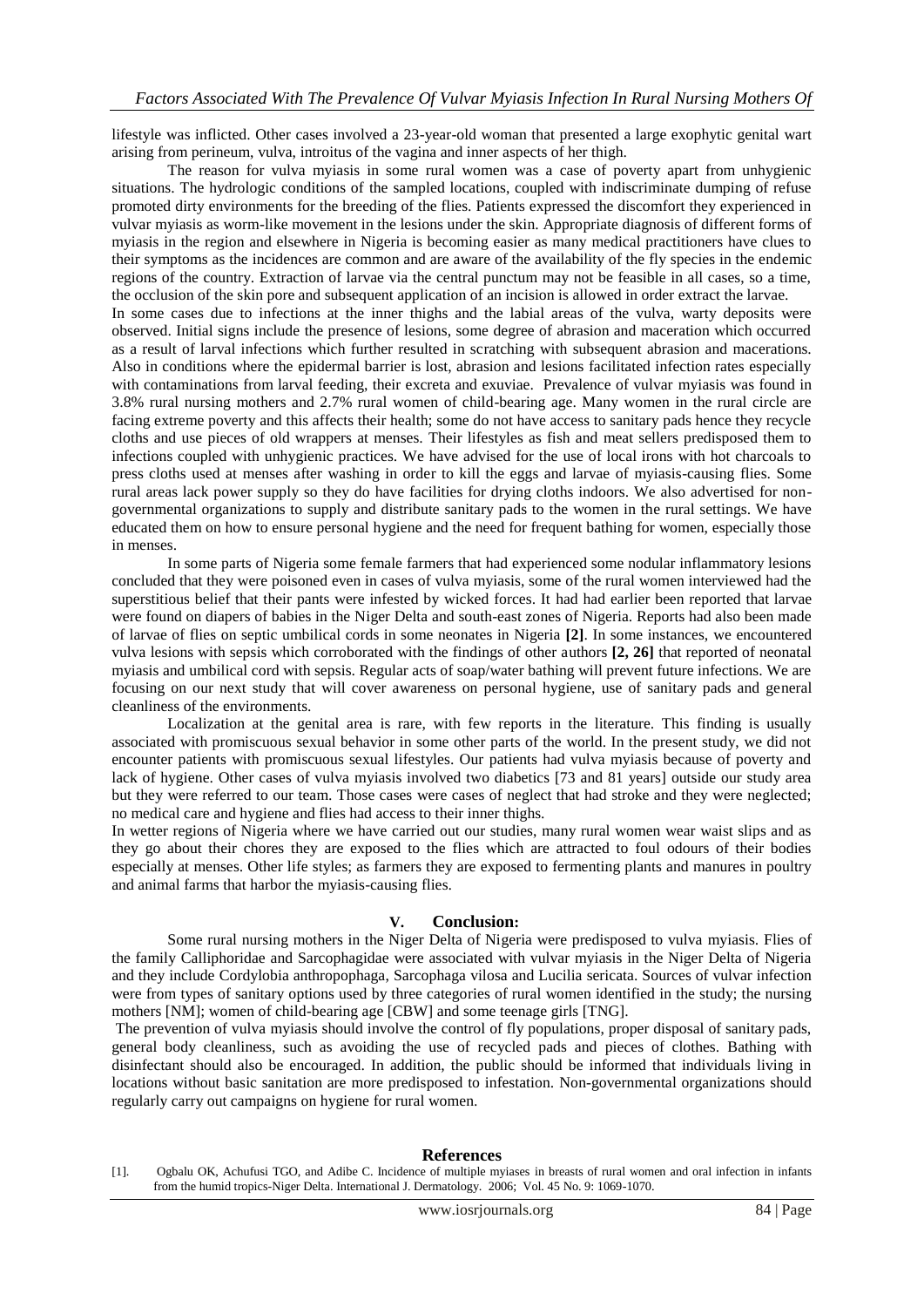lifestyle was inflicted. Other cases involved a 23-year-old woman that presented a large exophytic genital wart arising from perineum, vulva, introitus of the vagina and inner aspects of her thigh.

The reason for vulva myiasis in some rural women was a case of poverty apart from unhygienic situations. The hydrologic conditions of the sampled locations, coupled with indiscriminate dumping of refuse promoted dirty environments for the breeding of the flies. Patients expressed the discomfort they experienced in vulvar myiasis as worm-like movement in the lesions under the skin. Appropriate diagnosis of different forms of myiasis in the region and elsewhere in Nigeria is becoming easier as many medical practitioners have clues to their symptoms as the incidences are common and are aware of the availability of the fly species in the endemic regions of the country. Extraction of larvae via the central punctum may not be feasible in all cases, so a time, the occlusion of the skin pore and subsequent application of an incision is allowed in order extract the larvae. In some cases due to infections at the inner thighs and the labial areas of the vulva, warty deposits were observed. Initial signs include the presence of lesions, some degree of abrasion and maceration which occurred as a result of larval infections which further resulted in scratching with subsequent abrasion and macerations. Also in conditions where the epidermal barrier is lost, abrasion and lesions facilitated infection rates especially with contaminations from larval feeding, their excreta and exuviae. Prevalence of vulvar myiasis was found in 3.8% rural nursing mothers and 2.7% rural women of child-bearing age. Many women in the rural circle are facing extreme poverty and this affects their health; some do not have access to sanitary pads hence they recycle cloths and use pieces of old wrappers at menses. Their lifestyles as fish and meat sellers predisposed them to infections coupled with unhygienic practices. We have advised for the use of local irons with hot charcoals to press cloths used at menses after washing in order to kill the eggs and larvae of myiasis-causing flies. Some rural areas lack power supply so they do have facilities for drying cloths indoors. We also advertised for nongovernmental organizations to supply and distribute sanitary pads to the women in the rural settings. We have educated them on how to ensure personal hygiene and the need for frequent bathing for women, especially those in menses.

In some parts of Nigeria some female farmers that had experienced some nodular inflammatory lesions concluded that they were poisoned even in cases of vulva myiasis, some of the rural women interviewed had the superstitious belief that their pants were infested by wicked forces. It had had earlier been reported that larvae were found on diapers of babies in the Niger Delta and south-east zones of Nigeria. Reports had also been made of larvae of flies on septic umbilical cords in some neonates in Nigeria **[2]**. In some instances, we encountered vulva lesions with sepsis which corroborated with the findings of other authors **[2, 26]** that reported of neonatal myiasis and umbilical cord with sepsis. Regular acts of soap/water bathing will prevent future infections. We are focusing on our next study that will cover awareness on personal hygiene, use of sanitary pads and general cleanliness of the environments.

Localization at the genital area is rare, with few reports in the literature. This finding is usually associated with promiscuous sexual behavior in some other parts of the world. In the present study, we did not encounter patients with promiscuous sexual lifestyles. Our patients had vulva myiasis because of poverty and lack of hygiene. Other cases of vulva myiasis involved two diabetics [73 and 81 years] outside our study area but they were referred to our team. Those cases were cases of neglect that had stroke and they were neglected; no medical care and hygiene and flies had access to their inner thighs.

In wetter regions of Nigeria where we have carried out our studies, many rural women wear waist slips and as they go about their chores they are exposed to the flies which are attracted to foul odours of their bodies especially at menses. Other life styles; as farmers they are exposed to fermenting plants and manures in poultry and animal farms that harbor the myiasis-causing flies.

#### **V. Conclusion:**

Some rural nursing mothers in the Niger Delta of Nigeria were predisposed to vulva myiasis. Flies of the family Calliphoridae and Sarcophagidae were associated with vulvar myiasis in the Niger Delta of Nigeria and they include Cordylobia anthropophaga, Sarcophaga vilosa and Lucilia sericata. Sources of vulvar infection were from types of sanitary options used by three categories of rural women identified in the study; the nursing mothers [NM]; women of child-bearing age [CBW] and some teenage girls [TNG].

The prevention of vulva myiasis should involve the control of fly populations, proper disposal of sanitary pads, general body cleanliness, such as avoiding the use of recycled pads and pieces of clothes. Bathing with disinfectant should also be encouraged. In addition, the public should be informed that individuals living in locations without basic sanitation are more predisposed to infestation. Non-governmental organizations should regularly carry out campaigns on hygiene for rural women.

#### **References**

<sup>[1].</sup> Ogbalu OK, Achufusi TGO, and Adibe C. Incidence of multiple myiases in breasts of rural women and oral infection in infants from the humid tropics-Niger Delta. International J. Dermatology. 2006; Vol. 45 No. 9: 1069-1070.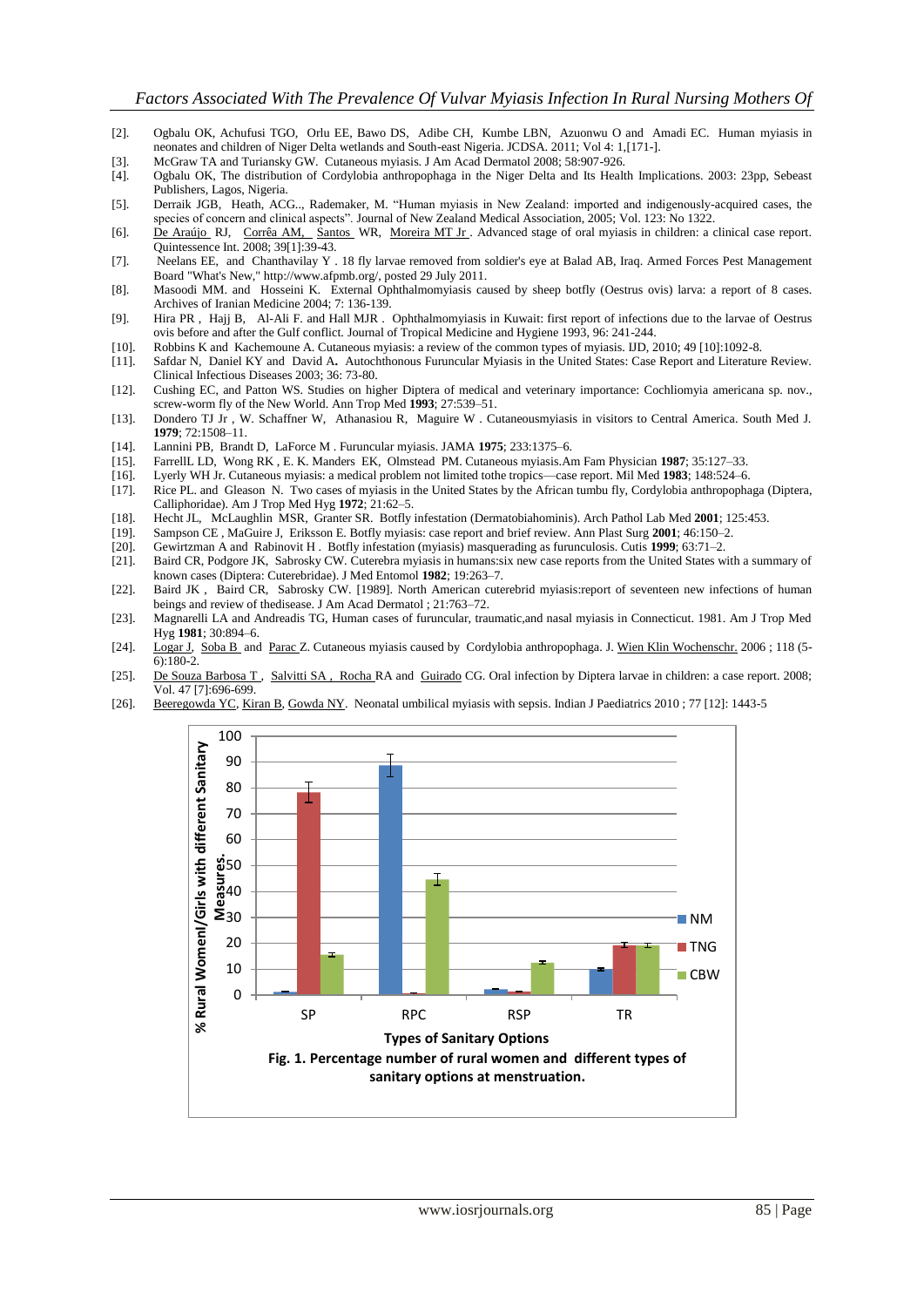- [2]. Ogbalu OK, Achufusi TGO, Orlu EE, Bawo DS, Adibe CH, Kumbe LBN, Azuonwu O and Amadi EC. Human myiasis in neonates and children of Niger Delta wetlands and South-east Nigeria. JCDSA. 2011; Vol 4: 1,[171-].
- [3]. McGraw TA and Turiansky GW. Cutaneous myiasis. J Am Acad Dermatol 2008; 58:907-926.
- [4]. Ogbalu OK, The distribution of Cordylobia anthropophaga in the Niger Delta and Its Health Implications. 2003: 23pp, Sebeast Publishers, Lagos, Nigeria.
- [5]. Derraik JGB, Heath, ACG.., Rademaker, M. "Human myiasis in New Zealand: imported and indigenously-acquired cases, the species of concern and clinical aspects<sup>"</sup>. Journal of New Zealand Medical Association, 2005; Vol. 123: No 1322.
- [6]. De [Araújo](http://www.ncbi.nlm.nih.gov/pubmed?term=%22de%20Ara%C3%BAjo%20RJ%22%5BAuthor%5D) RJ, [Corrêa AM,](http://www.ncbi.nlm.nih.gov/pubmed?term=%22Corr%C3%AAa%20AM%22%5BAuthor%5D) [Santos](http://www.ncbi.nlm.nih.gov/pubmed?term=%22Santos%20WR%22%5BAuthor%5D) WR, [Moreira MT Jr .](http://www.ncbi.nlm.nih.gov/pubmed?term=%22Moreira%20MT%20Jr%22%5BAuthor%5D) Advanced stage of oral myiasis in children: a clinical case report. Quintessence Int. 2008; 39[1]:39-43.
- [7]. Neelans EE, and Chanthavilay Y . 18 fly larvae removed from soldier's eye at Balad AB, Iraq. Armed Forces Pest Management Board "What's New," http://www.afpmb.org/, posted 29 July 2011.
- [8]. Masoodi MM. and Hosseini K. External Ophthalmomyiasis caused by sheep botfly (Oestrus ovis) larva: a report of 8 cases. Archives of Iranian Medicine 2004; 7: 136-139.
- [9]. Hira PR , Hajj B, Al-Ali F. and Hall MJR . Ophthalmomyiasis in Kuwait: first report of infections due to the larvae of Oestrus ovis before and after the Gulf conflict. Journal of Tropical Medicine and Hygiene 1993, 96: 241-244.
- [10]. Robbins K and Kachemoune A. Cutaneous myiasis: a review of the common types of myiasis. IJD, 2010; 49 [10]:1092-8.
- [11]. Safdar N, Daniel KY and David A**.** Autochthonous Furuncular Myiasis in the United States: Case Report and Literature Review. Clinical Infectious Diseases 2003; 36: 73-80.
- [12]. Cushing EC, and Patton WS. Studies on higher Diptera of medical and veterinary importance: Cochliomyia americana sp. nov., screw-worm fly of the New World. Ann Trop Med **1993**; 27:539–51.
- [13]. Dondero TJ Jr , W. Schaffner W, Athanasiou R, Maguire W . Cutaneousmyiasis in visitors to Central America. South Med J. **1979**; 72:1508–11.
- [14]. Lannini PB, Brandt D, LaForce M . Furuncular myiasis. JAMA **1975**; 233:1375–6.
- [15]. FarrellL LD, Wong RK , E. K. Manders EK, Olmstead PM. Cutaneous myiasis.Am Fam Physician **1987**; 35:127–33.
- [16]. Lyerly WH Jr. Cutaneous myiasis: a medical problem not limited tothe tropics—case report. Mil Med **1983**; 148:524–6.
- [17]. Rice PL. and Gleason N. Two cases of myiasis in the United States by the African tumbu fly, Cordylobia anthropophaga (Diptera, Calliphoridae). Am J Trop Med Hyg **1972**; 21:62–5.
- [18]. Hecht JL, McLaughlin MSR, Granter SR. Botfly infestation (Dermatobiahominis). Arch Pathol Lab Med **2001**; 125:453.
- [19]. Sampson CE , MaGuire J, Eriksson E. Botfly myiasis: case report and brief review. Ann Plast Surg **2001**; 46:150–2.
- [20]. Gewirtzman A and Rabinovit H . Botfly infestation (myiasis) masquerading as furunculosis. Cutis **1999**; 63:71–2.
- [21]. Baird CR, Podgore JK, Sabrosky CW. Cuterebra myiasis in humans:six new case reports from the United States with a summary of known cases (Diptera: Cuterebridae). J Med Entomol **1982**; 19:263–7.
- [22]. Baird JK , Baird CR, Sabrosky CW. [1989]. North American cuterebrid myiasis:report of seventeen new infections of human beings and review of thedisease. J Am Acad Dermatol ; 21:763–72.
- [23]. Magnarelli LA and Andreadis TG, Human cases of furuncular, traumatic,and nasal myiasis in Connecticut. 1981. Am J Trop Med Hyg **1981**; 30:894–6.
- [24]. [Logar J,](http://www.ncbi.nlm.nih.gov/pubmed?term=%22Logar%20J%22%5BAuthor%5D) [Soba B](http://www.ncbi.nlm.nih.gov/pubmed?term=%22Soba%20B%22%5BAuthor%5D) and [Parac Z](http://www.ncbi.nlm.nih.gov/pubmed?term=%22Parac%20Z%22%5BAuthor%5D). Cutaneous myiasis caused by Cordylobia anthropophaga. J[. Wien Klin Wochenschr.](http://www.ncbi.nlm.nih.gov/pubmed/16773485) 2006 ; 118 (5-6):180-2.
- [25]. De [Souza Barbosa T ,](http://www.ncbi.nlm.nih.gov/pubmed?term=%22de%20Souza%20Barbosa%20T%22%5BAuthor%5D) [Salvitti SA , Rocha R](http://www.ncbi.nlm.nih.gov/pubmed?term=%22Salvitti%20S%C3%A1%20Rocha%20RA%22%5BAuthor%5D)A and [Guirado](http://www.ncbi.nlm.nih.gov/pubmed?term=%22Guirado%20CG%22%5BAuthor%5D) CG. Oral infection by Diptera larvae in children: a case report. 2008; Vol. 47 [7]:696-699.
- [26]. [Beeregowda YC,](http://www.ncbi.nlm.nih.gov/pubmed?term=%22Beeregowda%20YC%22%5BAuthor%5D) [Kiran B,](http://www.ncbi.nlm.nih.gov/pubmed?term=%22Kiran%20B%22%5BAuthor%5D) [Gowda NY.](http://www.ncbi.nlm.nih.gov/pubmed?term=%22Gowda%20NY%22%5BAuthor%5D) Neonatal umbilical myiasis with sepsis. Indian J Paediatrics 2010 ; 77 [12]: 1443-5

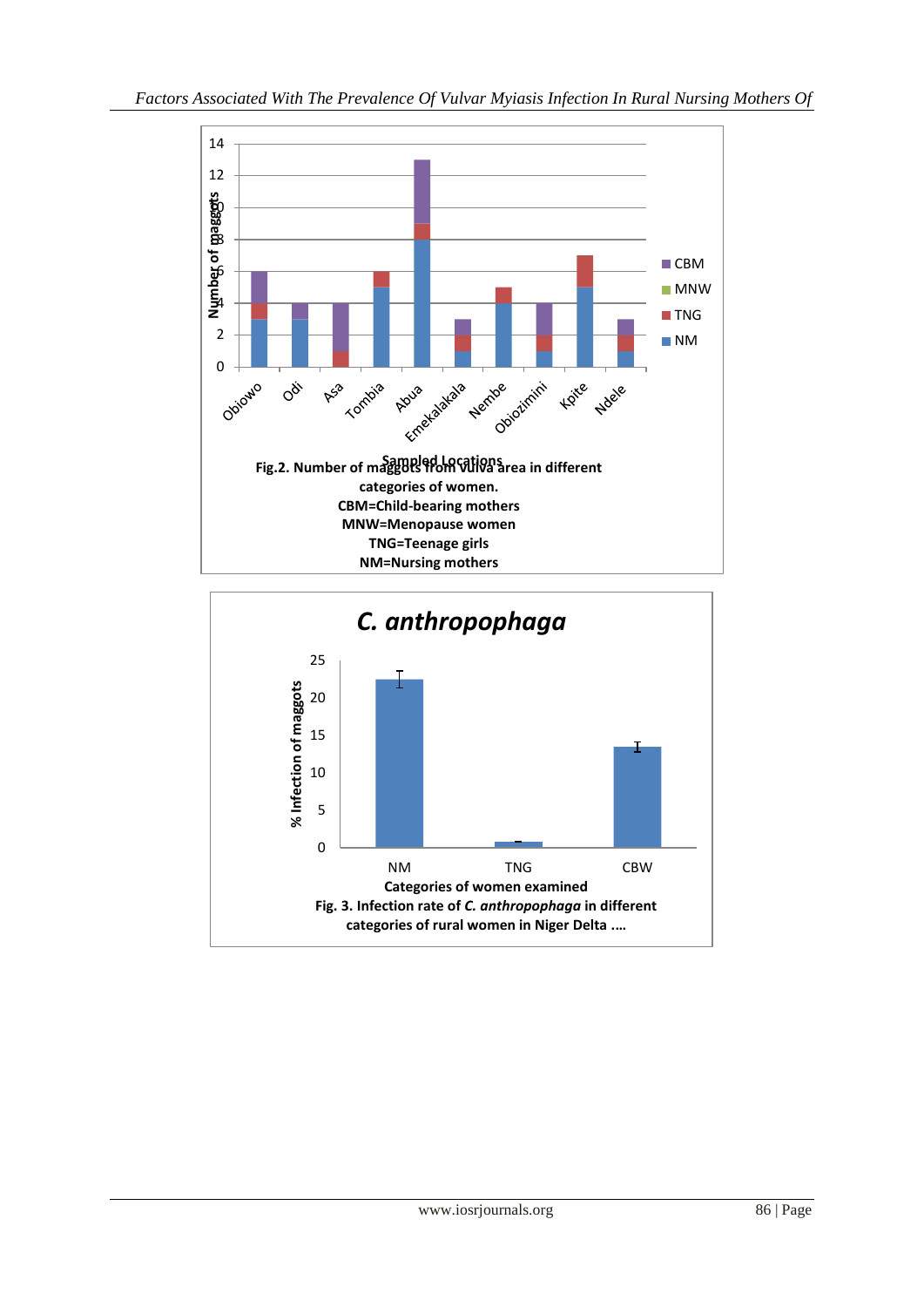